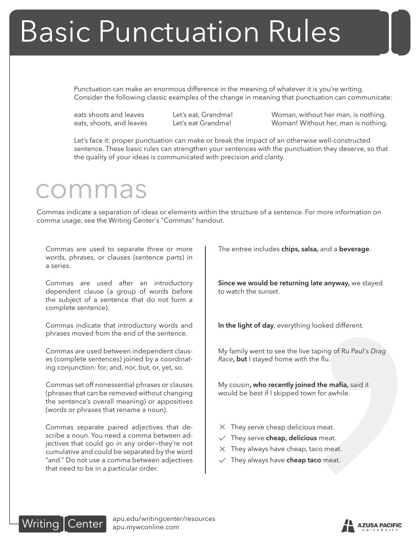# Basic Punctuation Rules

Punctuation can make an enormous difference in the meaning of whatever it is you're writing. Consider the following classic examples of the change in meaning that punctuation can communicate:

eats shoots and leaves Let's eat, Grandma! Woman, without her man, is nothing. eats, shoots, and leaves Let's eat Grandma! Woman! Without her, man is nothing.

**Example 18 Analytical State State of State State Analytical State Analytical State Analytical State Analytical State Analytical State Analytical State Analytical State Analytical State Analytics, and a beverage.<br>
External** Let's face it: proper punctuation can make or break the impact of an otherwise well-constructed sentence. These basic rules can strengthen your sentences with the punctuation they deserve, so that the quality of your ideas is communicated with precision and clarity.

#### commas

Commas indicate a separation of ideas or elements within the structure of a sentence. For more information on comma usage, see the Writing Center's "Commas" handout.

Commas are used to separate three or more words, phrases, or clauses (sentence parts) in a series.

Commas are used after an introductory dependent clause (a group of words before the subject of a sentence that do not form a complete sentence).

Commas indicate that introductory words and phrases moved from the end of the sentence.

Commas are used between independent clauses (complete sentences) joined by a coordinating conjunction: for, and, nor, but, or, yet, so.

Commas set off nonessential phrases or clauses (phrases that can be removed without changing the sentence's overall meaning) or appositives (words or phrases that rename a noun).

Commas separate paired adjectives that describe a noun. You need a comma between adjectives that could go in any order—they're not cumulative and could be separated by the word "and." Do not use a comma between adjectives that need to be in a particular order.

The entree includes chips, salsa, and a beverage.

Since we would be returning late anyway, we stayed to watch the sunset.

In the light of day, everything looked different.

My family went to see the live taping of Ru Paul's *Drag Race*, but I stayed home with the flu.

My cousin, who recently joined the mafia, said it would be best if I skipped town for awhile.

- $\times$  They serve cheap delicious meat.
- $\vee$  They serve cheap, delicious meat.
- $\times$  They always have cheap, taco meat.
- $\sqrt{ }$  They always have cheap taco meat.



apu.edu/writingcenter/resources apu.mywconline.com

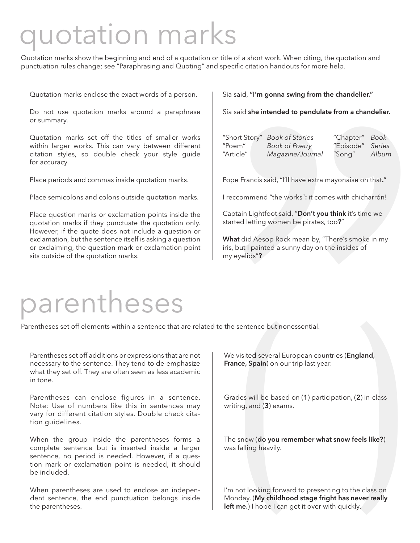### quotation marks

Quotation marks show the beginning and end of a quotation or title of a short work. When citing, the quotation and punctuation rules change; see "Paraphrasing and Quoting" and specific citation handouts for more help.

Quotation marks enclose the exact words of a person.

Do not use quotation marks around a paraphrase or summary.

Quotation marks set off the titles of smaller works within larger works. This can vary between different citation styles, so double check your style guide for accuracy.

Place periods and commas inside quotation marks.

Place semicolons and colons outside quotation marks.

Place question marks or exclamation points inside the quotation marks if they punctuate the quotation only. However, if the quote does not include a question or exclamation, but the sentence itself is asking a question or exclaiming, the question mark or exclamation point sits outside of the quotation marks.

| Sia said, "I'm gonna swing from the chandelier."                                                                                                                 |  |
|------------------------------------------------------------------------------------------------------------------------------------------------------------------|--|
| Sia said she intended to pendulate from a chandelier.                                                                                                            |  |
| "Short Story" Book of Stories<br>"Chapter" Book<br>"Poem"<br>"Episode" Series<br><b>Book of Poetry</b><br>"Song" Album<br>"Article"<br>Magazine/Journal          |  |
| Pope Francis said, "I'll have extra mayonaise on that."                                                                                                          |  |
| I reccommend "the works": it comes with chicharrón!                                                                                                              |  |
| Captain Lightfoot said, "Don't you think it's time we<br>started letting women be pirates, too?"                                                                 |  |
| What did Aesop Rock mean by, "There's smoke in my<br>iris, but I painted a sunny day on the insides of<br>my eyelids"?                                           |  |
|                                                                                                                                                                  |  |
| the sentence but nonessential.                                                                                                                                   |  |
| We visited several European countries (England,<br>France, Spain) on our trip last year.                                                                         |  |
| Grades will be based on (1) participation, (2) in-class<br>writing, and (3) exams.                                                                               |  |
| The snow (do you remember what snow feels like?)<br>was falling heavily.                                                                                         |  |
| I'm not looking forward to presenting to the class on<br>Monday. (My childhood stage fright has never really<br>left me.) I hope I can get it over with quickly. |  |
|                                                                                                                                                                  |  |

#### parentheses

Parentheses set off elements within a sentence that are related to the sentence but nonessential.

Parentheses set off additions or expressions that are not necessary to the sentence. They tend to de-emphasize what they set off. They are often seen as less academic in tone.

Parentheses can enclose figures in a sentence. Note: Use of numbers like this in sentences may vary for different citation styles. Double check citation guidelines.

When the group inside the parentheses forms a complete sentence but is inserted inside a larger sentence, no period is needed. However, if a question mark or exclamation point is needed, it should be included.

When parentheses are used to enclose an independent sentence, the end punctuation belongs inside the parentheses.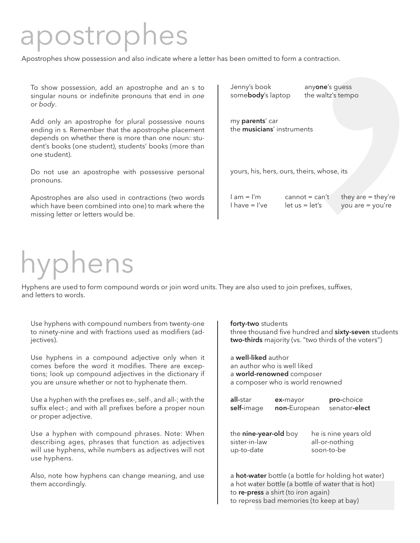## postrophes

| postrophes show possession and also indicate where a letter has been omitted to form a contraction.                                                                                                                                          |                                                                                                                                    |
|----------------------------------------------------------------------------------------------------------------------------------------------------------------------------------------------------------------------------------------------|------------------------------------------------------------------------------------------------------------------------------------|
|                                                                                                                                                                                                                                              |                                                                                                                                    |
| To show possession, add an apostrophe and an s to<br>singular nouns or indefinite pronouns that end in one<br>or body.                                                                                                                       | Jenny's book<br>anyone's guess<br>somebody's laptop<br>the waltz's tempo                                                           |
| Add only an apostrophe for plural possessive nouns<br>ending in s. Remember that the apostrophe placement<br>depends on whether there is more than one noun: stu-<br>dent's books (one student), students' books (more than<br>one student). | my parents' car<br>the musicians' instruments                                                                                      |
| Do not use an apostrophe with possessive personal<br>pronouns.                                                                                                                                                                               | yours, his, hers, ours, theirs, whose, its                                                                                         |
| Apostrophes are also used in contractions (two words<br>which have been combined into one) to mark where the<br>missing letter or letters would be.                                                                                          | $l$ am = $l'm$<br>they are $=$ they're<br>cannot = $can't$<br>$I$ have $= I$ 've<br>$let us = let's$<br>you are $=$ you're         |
|                                                                                                                                                                                                                                              |                                                                                                                                    |
| <b>Typhens</b>                                                                                                                                                                                                                               |                                                                                                                                    |
| yphens are used to form compound words or join word units. They are also used to join prefixes, suffixes,<br>nd letters to words.                                                                                                            |                                                                                                                                    |
| Use hyphens with compound numbers from twenty-one<br>to ninety-nine and with fractions used as modifiers (ad-<br>jectives).                                                                                                                  | forty-two students<br>three thousand five hundred and sixty-seven students<br>two-thirds majority (vs. "two thirds of the voters") |
| Use hyphens in a compound adjective only when it<br>comes before the word it modifies. There are excep-<br>tions; look up compound adjectives in the dictionary if<br>you are unsure whether or not to hyphenate them.                       | a well-liked author<br>an author who is well liked<br>a world-renowned composer<br>a composer who is world renowned                |
| Use a hyphen with the prefixes ex-, self-, and all-; with the<br>suffix elect-; and with all prefixes before a proper noun<br>or proper adjective.                                                                                           | all-star<br>pro-choice<br>ex-mayor<br>self-image<br>non-European<br>senator-elect                                                  |
| Use a hyphen with compound phrases. Note: When<br>describing ages, phrases that function as adjectives<br>will use hyphens, while numbers as adjectives will not<br>use hyphens.                                                             | the nine-year-old boy<br>he is nine years old<br>sister-in-law<br>all-or-nothing<br>soon-to-be<br>up-to-date                       |
| Also, note how hyphens can change meaning, and use<br>them accordingly.                                                                                                                                                                      | a <b>hot-water</b> bottle (a bottle for holding hot water)<br>a hot water bottle (a bottle of water that is hot)                   |
|                                                                                                                                                                                                                                              | to re-press a shirt (to iron again)<br>to repress bad memories (to keep at bay)                                                    |

# hyphens

| y are also used to join prefixes, suffixes,<br>forty-two students<br>two-thirds majority (vs. "two thirds of the voters")<br>a well-liked author<br>an author who is well liked<br>a world-renowned composer<br>a composer who is world renowned<br>all-star<br>pro-choice<br>ex-mayor<br>non-European<br>senator-elect<br>self-image<br>the nine-year-old boy<br>he is nine years old<br>sister-in-law<br>all-or-nothing<br>soon-to-be<br>up-to-date<br>a <b>hot-water</b> bottle (a bottle for holding hot water)<br>a hot water bottle (a bottle of water that is hot)<br>to re-press a shirt (to iron again)<br>to repress bad memories (to keep at bay) |  |  |
|--------------------------------------------------------------------------------------------------------------------------------------------------------------------------------------------------------------------------------------------------------------------------------------------------------------------------------------------------------------------------------------------------------------------------------------------------------------------------------------------------------------------------------------------------------------------------------------------------------------------------------------------------------------|--|--|
|                                                                                                                                                                                                                                                                                                                                                                                                                                                                                                                                                                                                                                                              |  |  |
| three thousand five hundred and sixty-seven students                                                                                                                                                                                                                                                                                                                                                                                                                                                                                                                                                                                                         |  |  |
|                                                                                                                                                                                                                                                                                                                                                                                                                                                                                                                                                                                                                                                              |  |  |
|                                                                                                                                                                                                                                                                                                                                                                                                                                                                                                                                                                                                                                                              |  |  |
|                                                                                                                                                                                                                                                                                                                                                                                                                                                                                                                                                                                                                                                              |  |  |
|                                                                                                                                                                                                                                                                                                                                                                                                                                                                                                                                                                                                                                                              |  |  |
|                                                                                                                                                                                                                                                                                                                                                                                                                                                                                                                                                                                                                                                              |  |  |
|                                                                                                                                                                                                                                                                                                                                                                                                                                                                                                                                                                                                                                                              |  |  |
|                                                                                                                                                                                                                                                                                                                                                                                                                                                                                                                                                                                                                                                              |  |  |
|                                                                                                                                                                                                                                                                                                                                                                                                                                                                                                                                                                                                                                                              |  |  |
|                                                                                                                                                                                                                                                                                                                                                                                                                                                                                                                                                                                                                                                              |  |  |